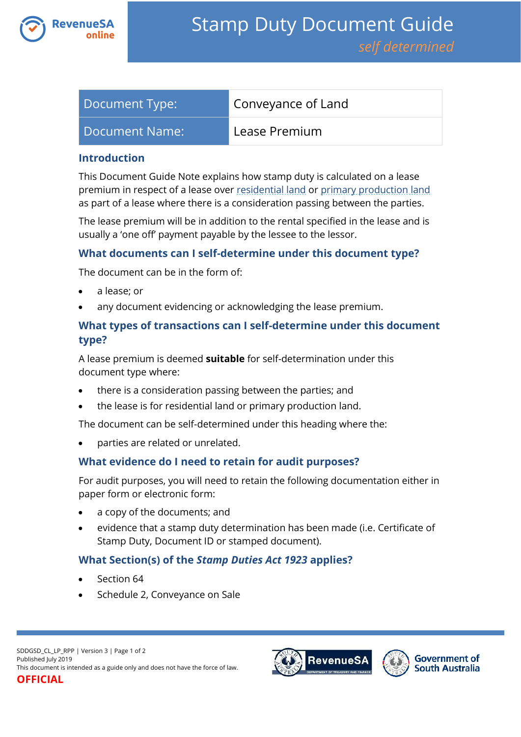

| Document Type: | Conveyance of Land |
|----------------|--------------------|
| Document Name: | Lease Premium      |

#### **Introduction**

This Document Guide Note explains how stamp duty is calculated on a lease premium in respect of a lease over [residential land](https://www.revenuesa.sa.gov.au/stampduty/stamp-duty-document-guide#RR&PP) or [primary production land](https://www.revenuesa.sa.gov.au/stampduty/stamp-duty-document-guide#RR&PP) as part of a lease where there is a consideration passing between the parties.

The lease premium will be in addition to the rental specified in the lease and is usually a 'one off' payment payable by the lessee to the lessor.

## **What documents can I self-determine under this document type?**

The document can be in the form of:

- a lease; or
- any document evidencing or acknowledging the lease premium.

# **What types of transactions can I self-determine under this document type?**

A lease premium is deemed **suitable** for self-determination under this document type where:

- there is a consideration passing between the parties; and
- the lease is for residential land or primary production land.

The document can be self-determined under this heading where the:

parties are related or unrelated.

## **What evidence do I need to retain for audit purposes?**

For audit purposes, you will need to retain the following documentation either in paper form or electronic form:

- a copy of the documents; and
- evidence that a stamp duty determination has been made (i.e. Certificate of Stamp Duty, Document ID or stamped document).

## **What Section(s) of the** *Stamp Duties Act 1923* **applies?**

- Section 64
- Schedule 2, Conveyance on Sale